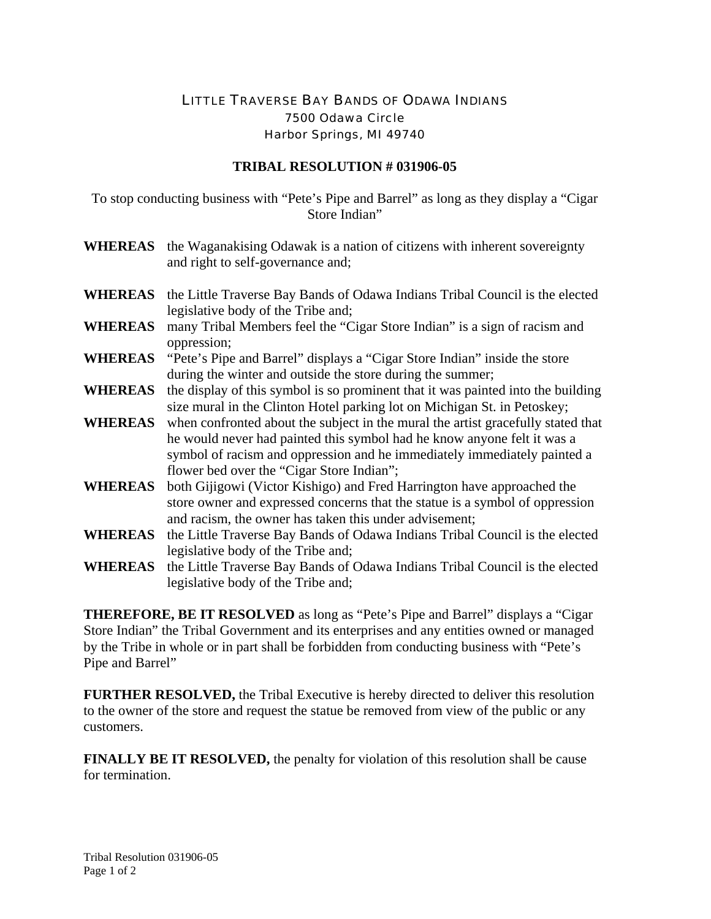## LITTLE TRAVERSE BAY BANDS OF ODAWA INDIANS 7500 Odawa Circle Harbor Springs, MI 49740

## **TRIBAL RESOLUTION # 031906-05**

To stop conducting business with "Pete's Pipe and Barrel" as long as they display a "Cigar Store Indian"

- **WHEREAS** the Waganakising Odawak is a nation of citizens with inherent sovereignty and right to self-governance and;
- **WHEREAS** the Little Traverse Bay Bands of Odawa Indians Tribal Council is the elected legislative body of the Tribe and;
- **WHEREAS** many Tribal Members feel the "Cigar Store Indian" is a sign of racism and oppression;
- **WHEREAS** "Pete's Pipe and Barrel" displays a "Cigar Store Indian" inside the store during the winter and outside the store during the summer;
- **WHEREAS** the display of this symbol is so prominent that it was painted into the building size mural in the Clinton Hotel parking lot on Michigan St. in Petoskey;
- **WHEREAS** when confronted about the subject in the mural the artist gracefully stated that he would never had painted this symbol had he know anyone felt it was a symbol of racism and oppression and he immediately immediately painted a flower bed over the "Cigar Store Indian";
- **WHEREAS** both Gijigowi (Victor Kishigo) and Fred Harrington have approached the store owner and expressed concerns that the statue is a symbol of oppression and racism, the owner has taken this under advisement;
- **WHEREAS** the Little Traverse Bay Bands of Odawa Indians Tribal Council is the elected legislative body of the Tribe and;
- **WHEREAS** the Little Traverse Bay Bands of Odawa Indians Tribal Council is the elected legislative body of the Tribe and;

**THEREFORE, BE IT RESOLVED** as long as "Pete's Pipe and Barrel" displays a "Cigar Store Indian" the Tribal Government and its enterprises and any entities owned or managed by the Tribe in whole or in part shall be forbidden from conducting business with "Pete's Pipe and Barrel"

**FURTHER RESOLVED,** the Tribal Executive is hereby directed to deliver this resolution to the owner of the store and request the statue be removed from view of the public or any customers.

**FINALLY BE IT RESOLVED,** the penalty for violation of this resolution shall be cause for termination.